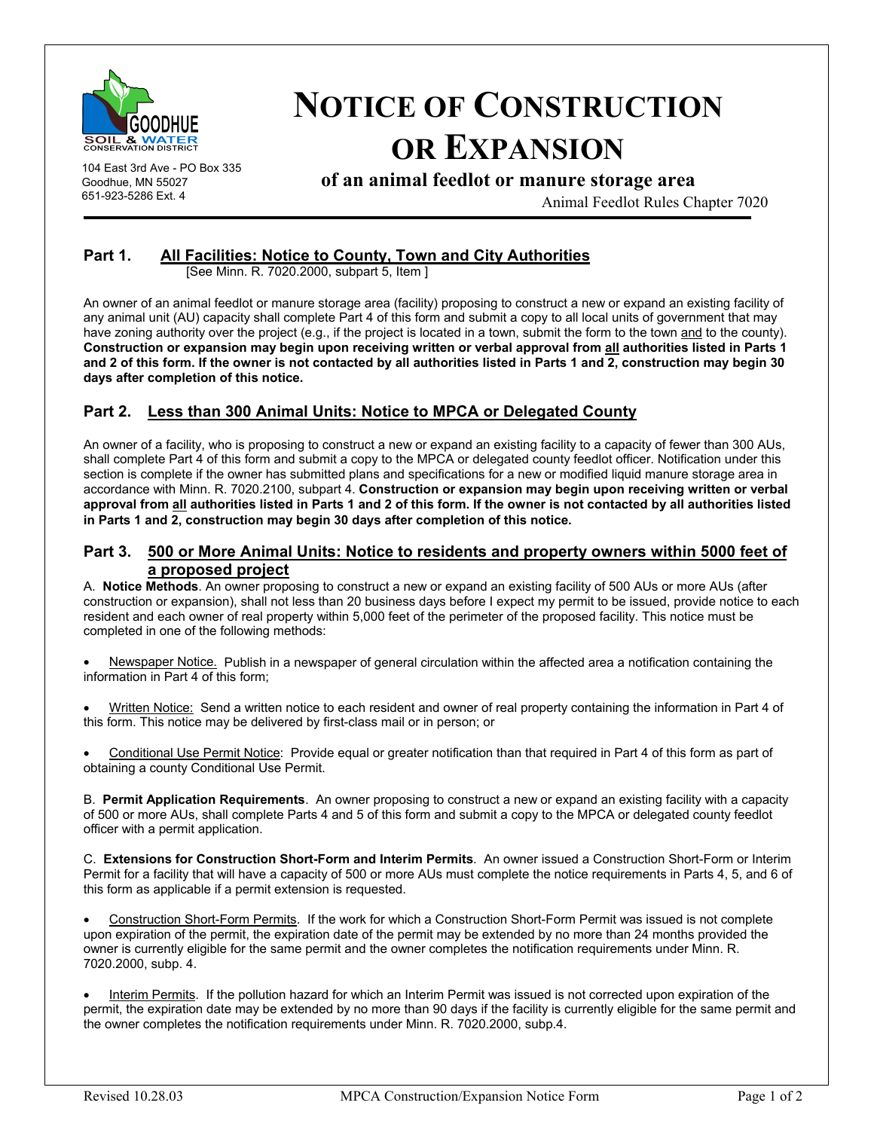

104 East 3rd Ave - PO Box 335 Goodhue, MN 55027 651-923-5286 Ext. 4

# **NOTICE OF CONSTRUCTION OR EXPANSION**

**of an animal feedlot or manure storage area** 

Animal Feedlot Rules Chapter 7020

#### **Part 1. All Facilities: Notice to County, Town and City Authorities**

[See Minn. R. 7020.2000, subpart 5, Item ]

An owner of an animal feedlot or manure storage area (facility) proposing to construct a new or expand an existing facility of any animal unit (AU) capacity shall complete Part 4 of this form and submit a copy to all local units of government that may have zoning authority over the project (e.g., if the project is located in a town, submit the form to the town and to the county). **Construction or expansion may begin upon receiving written or verbal approval from all authorities listed in Parts 1 and 2 of this form. If the owner is not contacted by all authorities listed in Parts 1 and 2, construction may begin 30 days after completion of this notice.**

## **Part 2. Less than 300 Animal Units: Notice to MPCA or Delegated County**

An owner of a facility, who is proposing to construct a new or expand an existing facility to a capacity of fewer than 300 AUs, shall complete Part 4 of this form and submit a copy to the MPCA or delegated county feedlot officer. Notification under this section is complete if the owner has submitted plans and specifications for a new or modified liquid manure storage area in accordance with Minn. R. 7020.2100, subpart 4. **Construction or expansion may begin upon receiving written or verbal approval from all authorities listed in Parts 1 and 2 of this form. If the owner is not contacted by all authorities listed in Parts 1 and 2, construction may begin 30 days after completion of this notice.** 

#### **Part 3. 500 or More Animal Units: Notice to residents and property owners within 5000 feet of a proposed project**

A. **Notice Methods**. An owner proposing to construct a new or expand an existing facility of 500 AUs or more AUs (after construction or expansion), shall not less than 20 business days before I expect my permit to be issued, provide notice to each resident and each owner of real property within 5,000 feet of the perimeter of the proposed facility. This notice must be completed in one of the following methods:

• Newspaper Notice. Publish in a newspaper of general circulation within the affected area a notification containing the information in Part 4 of this form;

• Written Notice: Send a written notice to each resident and owner of real property containing the information in Part 4 of this form. This notice may be delivered by first-class mail or in person; or

• Conditional Use Permit Notice: Provide equal or greater notification than that required in Part 4 of this form as part of obtaining a county Conditional Use Permit.

B. **Permit Application Requirements**. An owner proposing to construct a new or expand an existing facility with a capacity of 500 or more AUs, shall complete Parts 4 and 5 of this form and submit a copy to the MPCA or delegated county feedlot officer with a permit application.

C. **Extensions for Construction Short-Form and Interim Permits**. An owner issued a Construction Short-Form or Interim Permit for a facility that will have a capacity of 500 or more AUs must complete the notice requirements in Parts 4, 5, and 6 of this form as applicable if a permit extension is requested.

• Construction Short-Form Permits. If the work for which a Construction Short-Form Permit was issued is not complete upon expiration of the permit, the expiration date of the permit may be extended by no more than 24 months provided the owner is currently eligible for the same permit and the owner completes the notification requirements under Minn. R. 7020.2000, subp. 4.

• Interim Permits. If the pollution hazard for which an Interim Permit was issued is not corrected upon expiration of the permit, the expiration date may be extended by no more than 90 days if the facility is currently eligible for the same permit and the owner completes the notification requirements under Minn. R. 7020.2000, subp.4.